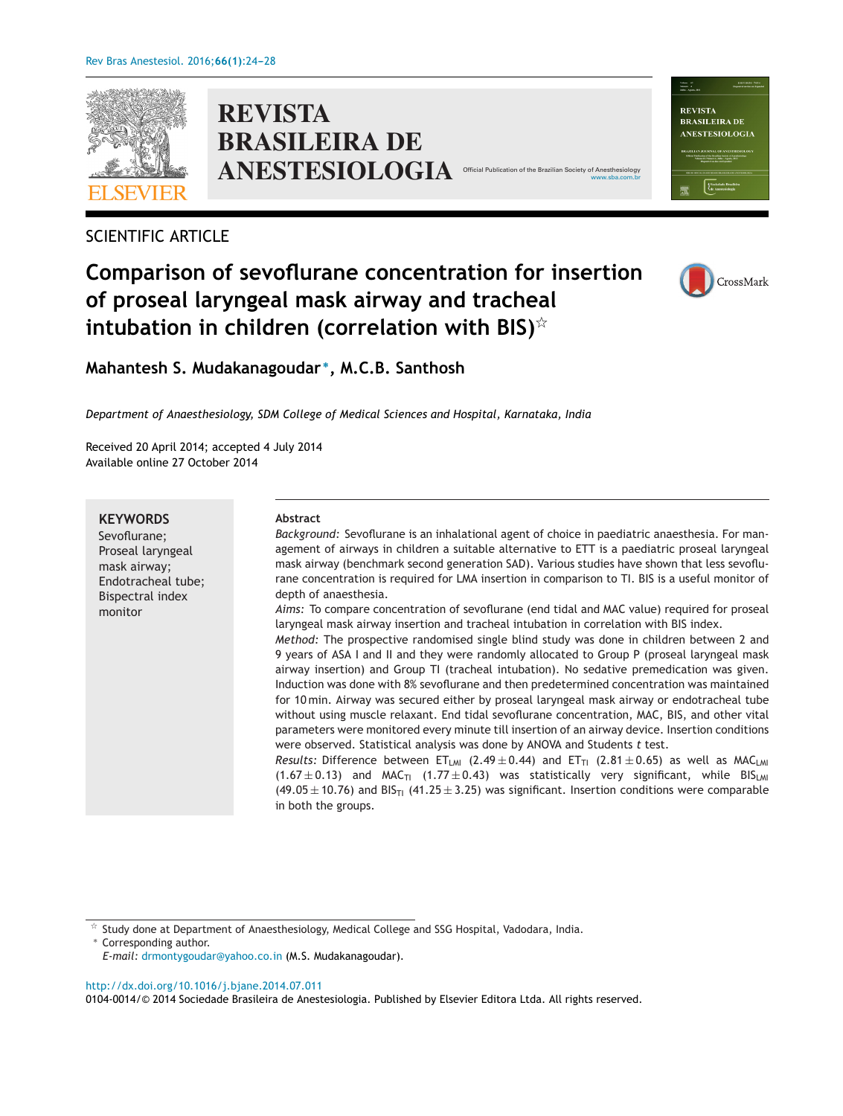

**REVISTA BRASILEIRA DE ANESTESIOLOGIA** 

## SCIENTIFIC ARTICLE

# **Comparison of sevoflurane concentration for insertion of proseal laryngeal mask airway and tracheal intubation in children (correlation with BIS)**-



**Mahantesh S. Mudakanagoudar <sup>∗</sup>, M.C.B. Santhosh**

*Department of Anaesthesiology, SDM College of Medical Sciences and Hospital, Karnataka, India*

Received 20 April 2014; accepted 4 July 2014 Available online 27 October 2014

**KEYWORDS**

Sevoflurane; Proseal laryngeal mask airway; Endotracheal tube; Bispectral index monitor

### **Abstract**

*Background:* Sevoflurane is an inhalational agent of choice in paediatric anaesthesia. For management of airways in children a suitable alternative to ETT is a paediatric proseal laryngeal mask airway (benchmark second generation SAD). Various studies have shown that less sevoflurane concentration is required for LMA insertion in comparison to TI. BIS is a useful monitor of depth of anaesthesia.

*Aims:* To compare concentration of sevoflurane (end tidal and MAC value) required for proseal laryngeal mask airway insertion and tracheal intubation in correlation with BIS index.

*Method:* The prospective randomised single blind study was done in children between 2 and 9 years of ASA I and II and they were randomly allocated to Group P (proseal laryngeal mask airway insertion) and Group TI (tracheal intubation). No sedative premedication was given. Induction was done with 8% sevoflurane and then predetermined concentration was maintained for 10 min. Airway was secured either by proseal laryngeal mask airway or endotracheal tube without using muscle relaxant. End tidal sevoflurane concentration, MAC, BIS, and other vital parameters were monitored every minute till insertion of an airway device. Insertion conditions were observed. Statistical analysis was done by ANOVA and Students *t* test.

*Results:* Difference between ET<sub>LMI</sub> (2.49 ± 0.44) and ET<sub>TI</sub> (2.81 ± 0.65) as well as MAC<sub>LMI</sub> (1.67  $\pm$  0.13) and MAC<sub>TI</sub> (1.77  $\pm$  0.43) was statistically very significant, while BIS<sub>LMI</sub>  $(49.05 \pm 10.76)$  and BIS<sub>TI</sub> (41.25  $\pm$  3.25) was significant. Insertion conditions were comparable in both the groups.

 $\frac{1}{24}$ Study done at Department of Anaesthesiology, Medical College and SSG Hospital, Vadodara, India.

Corresponding author. *E-mail:* [drmontygoudar@yahoo.co.in](mailto:drmontygoudar@yahoo.co.in) (M.S. Mudakanagoudar).

[http://dx.doi.org/10.1016/j.bjane.2014.07.011](dx.doi.org/10.1016/j.bjane.2014.07.011)

0104-0014/© 2014 Sociedade Brasileira de Anestesiologia. Published by Elsevier Editora Ltda. All rights reserved.



[www.sba.com.br](http://www.sba.com.br)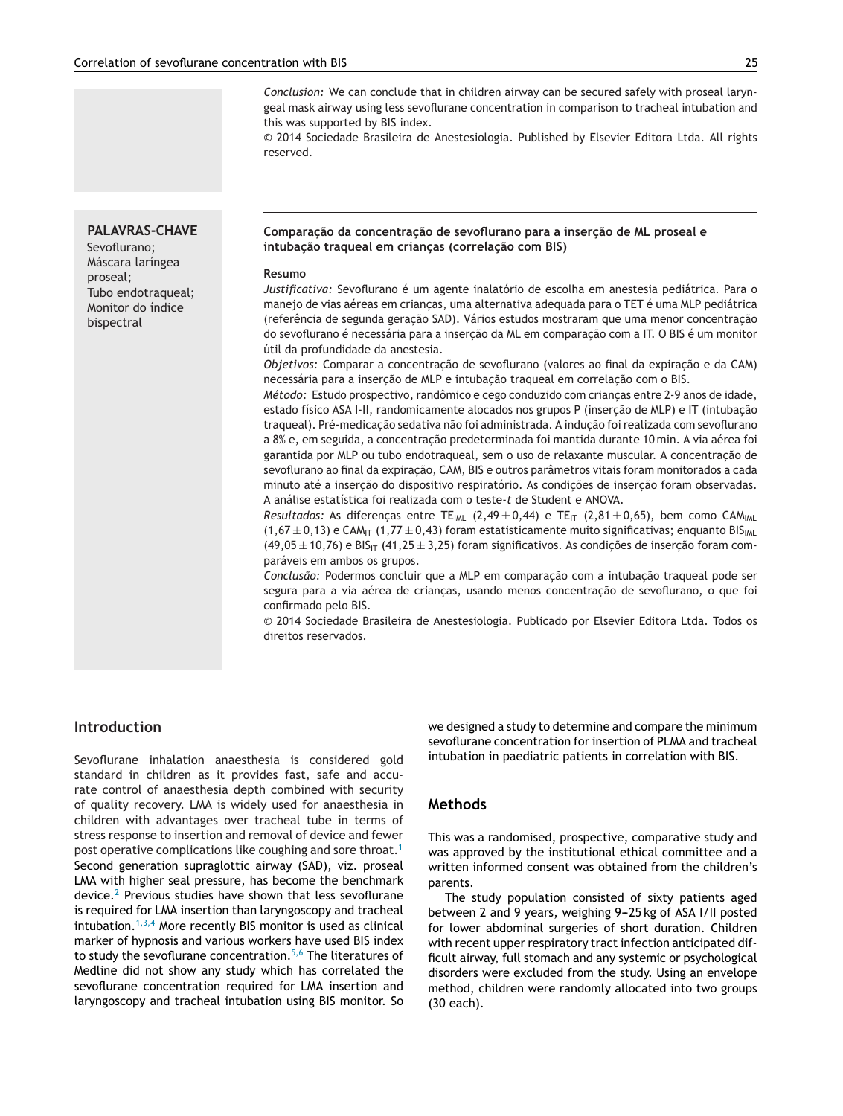*Conclusion:* We can conclude that in children airway can be secured safely with proseal laryngeal mask airway using less sevoflurane concentration in comparison to tracheal intubation and this was supported by BIS index.

© 2014 Sociedade Brasileira de Anestesiologia. Published by Elsevier Editora Ltda. All rights reserved.

## **PALAVRAS-CHAVE**

Sevoflurano; Máscara laríngea proseal; Tubo endotraqueal; Monitor do índice bispectral

#### **Comparac¸ão da concentrac¸ão de sevoflurano para a inserc¸ão de ML proseal e intubac¸ão traqueal em crianc¸as (correlac¸ão com BIS)**

#### **Resumo**

*Justificativa:* Sevoflurano é um agente inalatório de escolha em anestesia pediátrica. Para o manejo de vias aéreas em crianças, uma alternativa adequada para o TET é uma MLP pediátrica (referência de segunda geração SAD). Vários estudos mostraram que uma menor concentração do sevoflurano é necessária para a inserção da ML em comparação com a IT. O BIS é um monitor útil da profundidade da anestesia.

*Objetivos:* Comparar a concentracão de sevoflurano (valores ao final da expiração e da CAM) necessária para a insercão de MLP e intubação traqueal em correlação com o BIS.

*Método:* Estudo prospectivo, randômico e cego conduzido com criancas entre 2-9 anos de idade, estado físico ASA I-II, randomicamente alocados nos grupos P (inserção de MLP) e IT (intubação traqueal). Pré-medicação sedativa não foi administrada. A indução foi realizada com sevoflurano a 8% e, em seguida, a concentracão predeterminada foi mantida durante 10 min. A via aérea foi garantida por MLP ou tubo endotraqueal, sem o uso de relaxante muscular. A concentração de sevoflurano ao final da expiração, CAM, BIS e outros parâmetros vitais foram monitorados a cada minuto até a inserção do dispositivo respiratório. As condições de inserção foram observadas. A análise estatística foi realizada com o teste-*t* de Student e ANOVA.

*Resultados:* As diferenças entre TE<sub>IML</sub> (2,49 ± 0,44) e TE<sub>IT</sub> (2,81 ± 0,65), bem como CAM<sub>IML</sub>  $(1,67 \pm 0,13)$  e CAM<sub>IT</sub>  $(1,77 \pm 0,43)$  foram estatisticamente muito significativas; enquanto BIS<sub>IML</sub>  $(49,05 \pm 10,76)$  e BIS<sub>IT</sub>  $(41,25 \pm 3,25)$  foram significativos. As condições de inserção foram comparáveis em ambos os grupos.

Conclusão: Podermos concluir que a MLP em comparação com a intubação traqueal pode ser segura para a via aérea de criancas, usando menos concentração de sevoflurano, o que foi confirmado pelo BIS.

© 2014 Sociedade Brasileira de Anestesiologia. Publicado por Elsevier Editora Ltda. Todos os direitos reservados.

## **Introduction**

Sevoflurane inhalation anaesthesia is considered gold standard in children as it provides fast, safe and accurate control of anaesthesia depth combined with security of quality recovery. LMA is widely used for anaesthesia in children with advantages over tracheal tube in terms of stress response to insertion and removal of device and fewer post operative complications like coughing and sore throat.<sup>[1](#page-4-0)</sup> Second generation supraglottic airway (SAD), viz. proseal LMA with higher seal pressure, has become the benchmark device.<sup>[2](#page-4-0)</sup> Previous studies have shown that less sevoflurane is required for LMA insertion than laryngoscopy and tracheal intubation.<sup>[1,3,4](#page-4-0)</sup> More recently BIS monitor is used as clinical marker of hypnosis and various workers have used BIS index to study the sevoflurane concentration.<sup>[5,6](#page-4-0)</sup> The literatures of Medline did not show any study which has correlated the sevoflurane concentration required for LMA insertion and laryngoscopy and tracheal intubation using BIS monitor. So

we designed a study to determine and compare the minimum sevoflurane concentration for insertion of PLMA and tracheal intubation in paediatric patients in correlation with BIS.

## **Methods**

This was a randomised, prospective, comparative study and was approved by the institutional ethical committee and a written informed consent was obtained from the children's parents.

The study population consisted of sixty patients aged between 2 and 9 years, weighing 9-25 kg of ASA I/II posted for lower abdominal surgeries of short duration. Children with recent upper respiratory tract infection anticipated difficult airway, full stomach and any systemic or psychological disorders were excluded from the study. Using an envelope method, children were randomly allocated into two groups (30 each).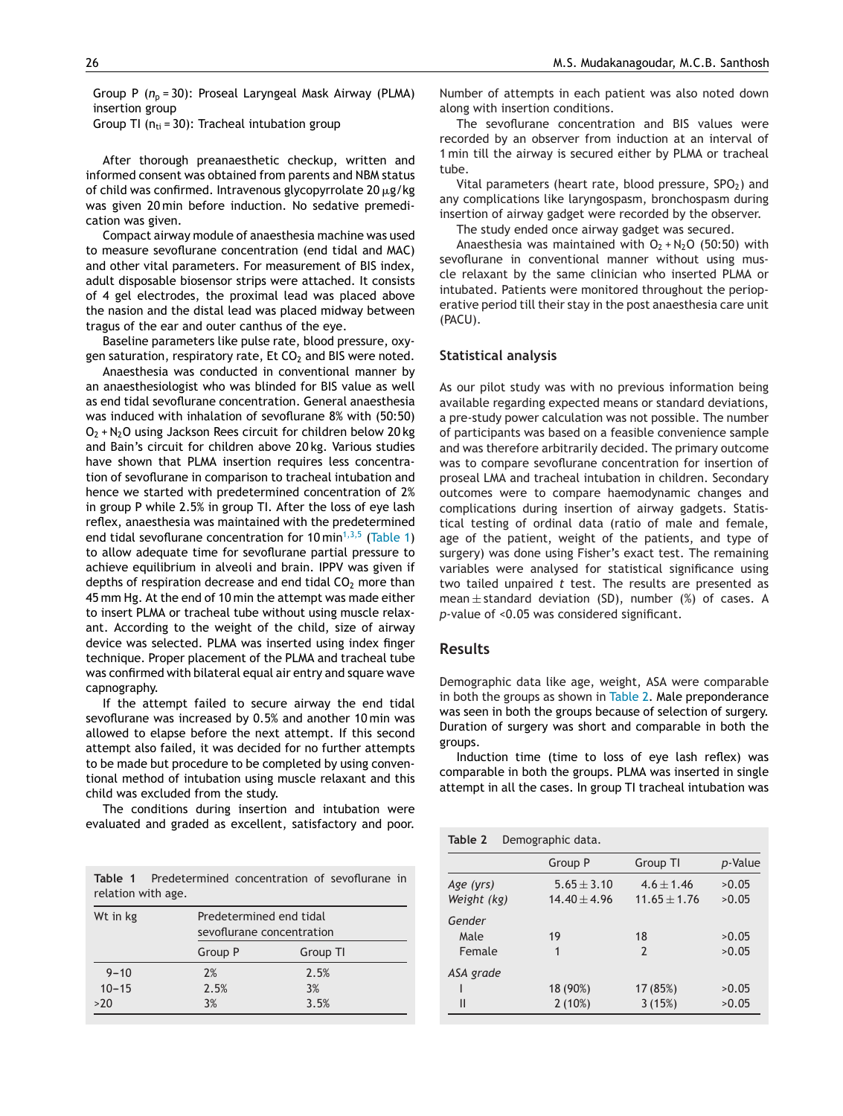Group P (n<sub>p</sub> = 30): Proseal Laryngeal Mask Airway (PLMA) insertion group

Group TI ( $n_{ti} = 30$ ): Tracheal intubation group

After thorough preanaesthetic checkup, written and informed consent was obtained from parents and NBM status of child was confirmed. Intravenous glycopyrrolate 20  $\mu$ g/kg was given 20 min before induction. No sedative premedication was given.

Compact airway module of anaesthesia machine was used to measure sevoflurane concentration (end tidal and MAC) and other vital parameters. For measurement of BIS index, adult disposable biosensor strips were attached. It consists of 4 gel electrodes, the proximal lead was placed above the nasion and the distal lead was placed midway between tragus of the ear and outer canthus of the eye.

Baseline parameters like pulse rate, blood pressure, oxygen saturation, respiratory rate,  $Et CO<sub>2</sub>$  and BIS were noted.

Anaesthesia was conducted in conventional manner by an anaesthesiologist who was blinded for BIS value as well as end tidal sevoflurane concentration. General anaesthesia was induced with inhalation of sevoflurane 8% with (50:50)  $O_2$  + N<sub>2</sub>O using Jackson Rees circuit for children below 20 kg and Bain's circuit for children above 20 kg. Various studies have shown that PLMA insertion requires less concentration of sevoflurane in comparison to tracheal intubation and hence we started with predetermined concentration of 2% in group P while 2.5% in group TI. After the loss of eye lash reflex, anaesthesia was maintained with the predetermined end tidal sevoflurane concentration for 10 min<sup>[1,3,5](#page-4-0)</sup> (Table 1) to allow adequate time for sevoflurane partial pressure to achieve equilibrium in alveoli and brain. IPPV was given if depths of respiration decrease and end tidal  $CO<sub>2</sub>$  more than 45 mm Hg. At the end of 10 min the attempt was made either to insert PLMA or tracheal tube without using muscle relaxant. According to the weight of the child, size of airway device was selected. PLMA was inserted using index finger technique. Proper placement of the PLMA and tracheal tube was confirmed with bilateral equal air entry and square wave capnography.

If the attempt failed to secure airway the end tidal sevoflurane was increased by 0.5% and another 10 min was allowed to elapse before the next attempt. If this second attempt also failed, it was decided for no further attempts to be made but procedure to be completed by using conventional method of intubation using muscle relaxant and this child was excluded from the study.

The conditions during insertion and intubation were evaluated and graded as excellent, satisfactory and poor.

| relation with age. |                                                      |  | <b>Table 1</b> Predetermined concentration of sevoflurane in |
|--------------------|------------------------------------------------------|--|--------------------------------------------------------------|
| Wt in kg           | Predetermined end tidal<br>sevoflurane concentration |  |                                                              |
|                    | Group P                                              |  | Group TI                                                     |

 $9-10$  2% 2.5%  $10-15$  2.5% 3% >20 3% 3.5% Number of attempts in each patient was also noted down along with insertion conditions.

The sevoflurane concentration and BIS values were recorded by an observer from induction at an interval of 1 min till the airway is secured either by PLMA or tracheal tube.

Vital parameters (heart rate, blood pressure,  $SPO<sub>2</sub>$ ) and any complications like laryngospasm, bronchospasm during insertion of airway gadget were recorded by the observer.

The study ended once airway gadget was secured.

Anaesthesia was maintained with  $O_2 + N_2O$  (50:50) with sevoflurane in conventional manner without using muscle relaxant by the same clinician who inserted PLMA or intubated. Patients were monitored throughout the perioperative period till their stay in the post anaesthesia care unit (PACU).

#### **Statistical analysis**

As our pilot study was with no previous information being available regarding expected means or standard deviations, a pre-study power calculation was not possible. The number of participants was based on a feasible convenience sample and was therefore arbitrarily decided. The primary outcome was to compare sevoflurane concentration for insertion of proseal LMA and tracheal intubation in children. Secondary outcomes were to compare haemodynamic changes and complications during insertion of airway gadgets. Statistical testing of ordinal data (ratio of male and female, age of the patient, weight of the patients, and type of surgery) was done using Fisher's exact test. The remaining variables were analysed for statistical significance using two tailed unpaired *t* test. The results are presented as mean  $\pm$  standard deviation (SD), number (%) of cases. A *p*-value of <0.05 was considered significant.

### **Results**

Demographic data like age, weight, ASA were comparable in both the groups as shown in Table 2. Male preponderance was seen in both the groups because of selection of surgery. Duration of surgery was short and comparable in both the groups.

Induction time (time to loss of eye lash reflex) was comparable in both the groups. PLMA was inserted in single attempt in all the cases. In group TI tracheal intubation was

| Table 2<br>Demographic data. |                                   |                                  |                 |
|------------------------------|-----------------------------------|----------------------------------|-----------------|
|                              | Group P                           | Group TI                         | <i>p</i> -Value |
| Age (yrs)<br>Weight (kg)     | $5.65 \pm 3.10$<br>$14.40 + 4.96$ | $4.6 \pm 1.46$<br>$11.65 + 1.76$ | >0.05<br>>0.05  |
| Gender<br>Male<br>Female     | 19<br>1                           | 18<br>$\mathcal{P}$              | >0.05<br>>0.05  |
| ASA grade<br>Ш               | 18 (90%)<br>$2(10\%)$             | 17 (85%)<br>3(15%)               | >0.05<br>>0.05  |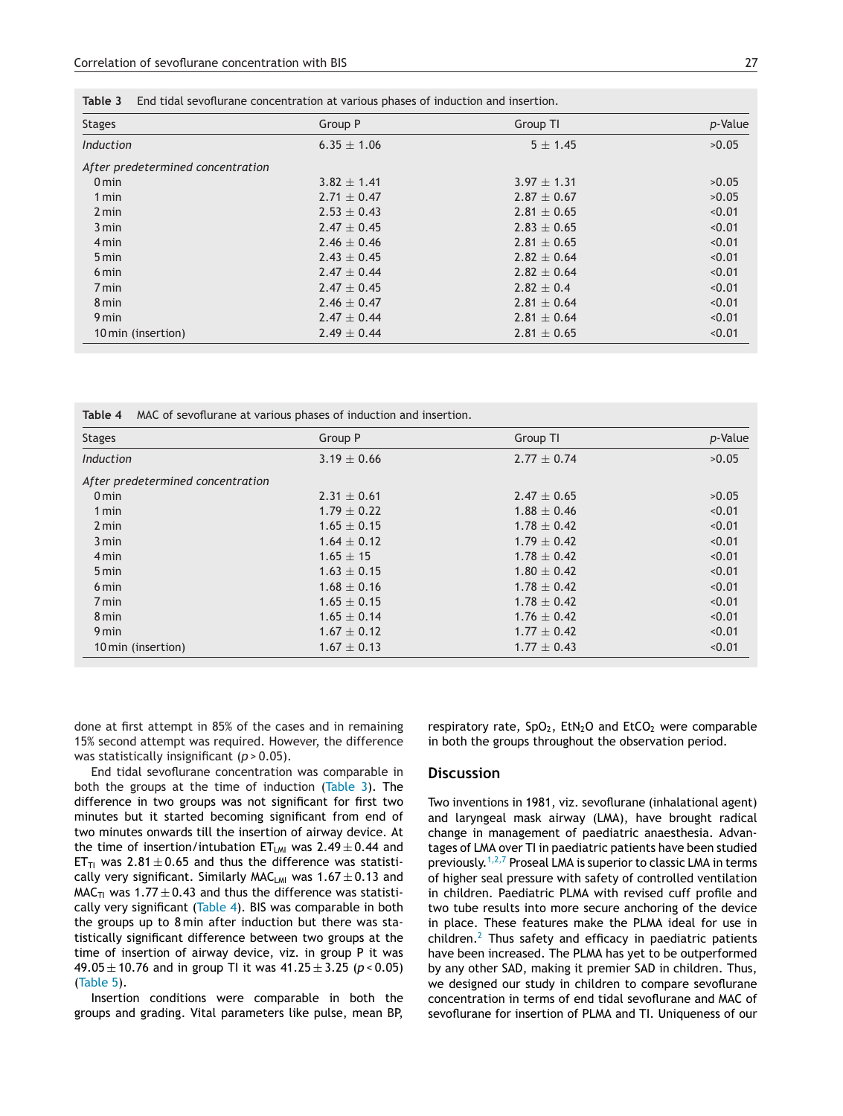|           | Table 3 End tidal sevoflurane concentration at various phases of induction and insertion. |            |  |
|-----------|-------------------------------------------------------------------------------------------|------------|--|
| Stages    | Group P                                                                                   | Group TI   |  |
| Induction | $6.35 \pm 1.06$                                                                           | $5 + 1.45$ |  |

| <b>Stages</b>                     | Group P         | Group TI        | p-Value |
|-----------------------------------|-----------------|-----------------|---------|
| Induction                         | $6.35 \pm 1.06$ | $5 \pm 1.45$    | >0.05   |
| After predetermined concentration |                 |                 |         |
| 0 <sub>min</sub>                  | $3.82 \pm 1.41$ | $3.97 \pm 1.31$ | >0.05   |
| 1 min                             | $2.71 \pm 0.47$ | $2.87 \pm 0.67$ | >0.05   |
| 2 min                             | $2.53 \pm 0.43$ | $2.81 \pm 0.65$ | < 0.01  |
| 3 min                             | $2.47 \pm 0.45$ | $2.83 \pm 0.65$ | < 0.01  |
| 4 min                             | $2.46 \pm 0.46$ | $2.81 \pm 0.65$ | < 0.01  |
| 5 min                             | $2.43 \pm 0.45$ | $2.82 \pm 0.64$ | < 0.01  |
| 6 min                             | $2.47 \pm 0.44$ | $2.82 \pm 0.64$ | < 0.01  |
| 7 min                             | $2.47 \pm 0.45$ | $2.82 \pm 0.4$  | < 0.01  |
| 8 min                             | $2.46 \pm 0.47$ | $2.81 \pm 0.64$ | < 0.01  |
| 9 min                             | $2.47 \pm 0.44$ | $2.81 \pm 0.64$ | < 0.01  |
| 10 min (insertion)                | $2.49 \pm 0.44$ | $2.81 \pm 0.65$ | < 0.01  |

**Table 4** MAC of sevoflurane at various phases of induction and insertion.

| <b>Stages</b>                     | Group P         | Group TI        | p-Value |
|-----------------------------------|-----------------|-----------------|---------|
| <b>Induction</b>                  | $3.19 \pm 0.66$ | $2.77 \pm 0.74$ | >0.05   |
| After predetermined concentration |                 |                 |         |
| 0 <sub>min</sub>                  | $2.31 \pm 0.61$ | $2.47 \pm 0.65$ | >0.05   |
| 1 min                             | $1.79 \pm 0.22$ | $1.88 \pm 0.46$ | < 0.01  |
| $2 \text{ min}$                   | $1.65 \pm 0.15$ | $1.78 \pm 0.42$ | < 0.01  |
| 3 min                             | $1.64 \pm 0.12$ | $1.79 \pm 0.42$ | < 0.01  |
| 4 min                             | $1.65 \pm 15$   | $1.78 \pm 0.42$ | < 0.01  |
| 5 min                             | $1.63 \pm 0.15$ | $1.80 \pm 0.42$ | < 0.01  |
| 6 min                             | $1.68 \pm 0.16$ | $1.78 \pm 0.42$ | < 0.01  |
| 7 min                             | $1.65 \pm 0.15$ | $1.78 \pm 0.42$ | < 0.01  |
| 8 min                             | $1.65 \pm 0.14$ | $1.76 \pm 0.42$ | < 0.01  |
| 9 min                             | $1.67 \pm 0.12$ | $1.77 \pm 0.42$ | < 0.01  |
| 10 min (insertion)                | $1.67 \pm 0.13$ | $1.77 \pm 0.43$ | < 0.01  |

done at first attempt in 85% of the cases and in remaining 15% second attempt was required. However, the difference was statistically insignificant (*p* > 0.05).

End tidal sevoflurane concentration was comparable in both the groups at the time of induction (Table 3). The difference in two groups was not significant for first two minutes but it started becoming significant from end of two minutes onwards till the insertion of airway device. At the time of insertion/intubation  $ET_{LM}$  was  $2.49 \pm 0.44$  and ET<sub>TI</sub> was  $2.81 \pm 0.65$  and thus the difference was statistically very significant. Similarly MAC<sub>LMI</sub> was  $1.67 \pm 0.13$  and  $MAC_{\text{TI}}$  was 1.77  $\pm$  0.43 and thus the difference was statistically very significant (Table 4). BIS was comparable in both the groups up to 8 min after induction but there was statistically significant difference between two groups at the time of insertion of airway device, viz. in group P it was 49.05 ± 10.76 and in group TI it was 41.25 ± 3.25 (*p* < 0.05) ([Table](#page-4-0) 5).

Insertion conditions were comparable in both the groups and grading. Vital parameters like pulse, mean BP, respiratory rate,  $SpO<sub>2</sub>$ , EtN<sub>2</sub>O and EtCO<sub>2</sub> were comparable in both the groups throughout the observation period.

## **Discussion**

Two inventions in 1981, viz. sevoflurane (inhalational agent) and laryngeal mask airway (LMA), have brought radical change in management of paediatric anaesthesia. Advantages of LMA over TI in paediatric patients have been studied previously.<sup>[1,2,7](#page-4-0)</sup> Proseal LMA is superior to classic LMA in terms of higher seal pressure with safety of controlled ventilation in children. Paediatric PLMA with revised cuff profile and two tube results into more secure anchoring of the device in place. These features make the PLMA ideal for use in children. $<sup>2</sup>$  $<sup>2</sup>$  $<sup>2</sup>$  Thus safety and efficacy in paediatric patients</sup> have been increased. The PLMA has yet to be outperformed by any other SAD, making it premier SAD in children. Thus, we designed our study in children to compare sevoflurane concentration in terms of end tidal sevoflurane and MAC of sevoflurane for insertion of PLMA and TI. Uniqueness of our